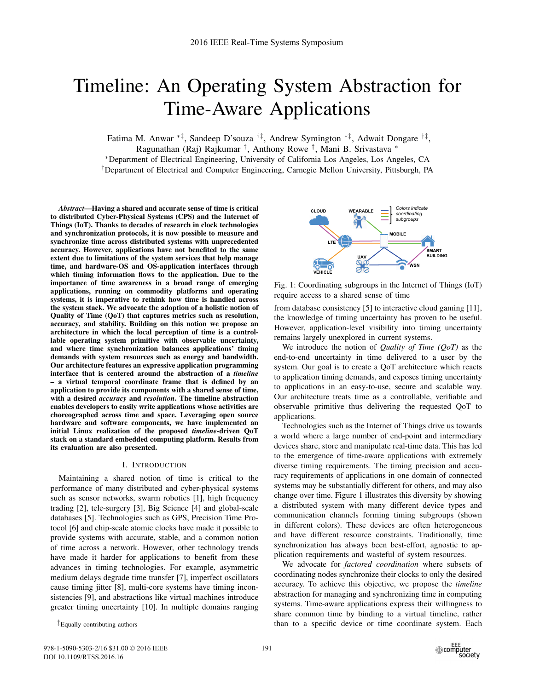# Timeline: An Operating System Abstraction for Time-Aware Applications

Fatima M. Anwar ∗‡, Sandeep D'souza †‡, Andrew Symington ∗‡, Adwait Dongare †‡,

Ragunathan (Raj) Rajkumar †, Anthony Rowe †, Mani B. Srivastava ∗

∗Department of Electrical Engineering, University of California Los Angeles, Los Angeles, CA

†Department of Electrical and Computer Engineering, Carnegie Mellon University, Pittsburgh, PA

*Abstract*—Having a shared and accurate sense of time is critical to distributed Cyber-Physical Systems (CPS) and the Internet of Things (IoT). Thanks to decades of research in clock technologies and synchronization protocols, it is now possible to measure and synchronize time across distributed systems with unprecedented accuracy. However, applications have not benefited to the same extent due to limitations of the system services that help manage time, and hardware-OS and OS-application interfaces through which timing information flows to the application. Due to the importance of time awareness in a broad range of emerging applications, running on commodity platforms and operating systems, it is imperative to rethink how time is handled across the system stack. We advocate the adoption of a holistic notion of Quality of Time (QoT) that captures metrics such as resolution, accuracy, and stability. Building on this notion we propose an architecture in which the local perception of time is a controllable operating system primitive with observable uncertainty, and where time synchronization balances applications' timing demands with system resources such as energy and bandwidth. Our architecture features an expressive application programming interface that is centered around the abstraction of a *timeline* – a virtual temporal coordinate frame that is defined by an application to provide its components with a shared sense of time, with a desired *accuracy* and *resolution*. The timeline abstraction enables developers to easily write applications whose activities are choreographed across time and space. Leveraging open source hardware and software components, we have implemented an initial Linux realization of the proposed *timeline*-driven QoT stack on a standard embedded computing platform. Results from its evaluation are also presented.

# I. INTRODUCTION

Maintaining a shared notion of time is critical to the performance of many distributed and cyber-physical systems such as sensor networks, swarm robotics [1], high frequency trading [2], tele-surgery [3], Big Science [4] and global-scale databases [5]. Technologies such as GPS, Precision Time Protocol [6] and chip-scale atomic clocks have made it possible to provide systems with accurate, stable, and a common notion of time across a network. However, other technology trends have made it harder for applications to benefit from these advances in timing technologies. For example, asymmetric medium delays degrade time transfer [7], imperfect oscillators cause timing jitter [8], multi-core systems have timing inconsistencies [9], and abstractions like virtual machines introduce greater timing uncertainty [10]. In multiple domains ranging

‡Equally contributing authors



Fig. 1: Coordinating subgroups in the Internet of Things (IoT) require access to a shared sense of time

from database consistency [5] to interactive cloud gaming [11], the knowledge of timing uncertainty has proven to be useful. However, application-level visibility into timing uncertainty remains largely unexplored in current systems.

We introduce the notion of *Quality of Time (QoT)* as the end-to-end uncertainty in time delivered to a user by the system. Our goal is to create a QoT architecture which reacts to application timing demands, and exposes timing uncertainty to applications in an easy-to-use, secure and scalable way. Our architecture treats time as a controllable, verifiable and observable primitive thus delivering the requested QoT to applications.

Technologies such as the Internet of Things drive us towards a world where a large number of end-point and intermediary devices share, store and manipulate real-time data. This has led to the emergence of time-aware applications with extremely diverse timing requirements. The timing precision and accuracy requirements of applications in one domain of connected systems may be substantially different for others, and may also change over time. Figure 1 illustrates this diversity by showing a distributed system with many different device types and communication channels forming timing subgroups (shown in different colors). These devices are often heterogeneous and have different resource constraints. Traditionally, time synchronization has always been best-effort, agnostic to application requirements and wasteful of system resources.

We advocate for *factored coordination* where subsets of coordinating nodes synchronize their clocks to only the desired accuracy. To achieve this objective, we propose the *timeline* abstraction for managing and synchronizing time in computing systems. Time-aware applications express their willingness to share common time by binding to a virtual timeline, rather than to a specific device or time coordinate system. Each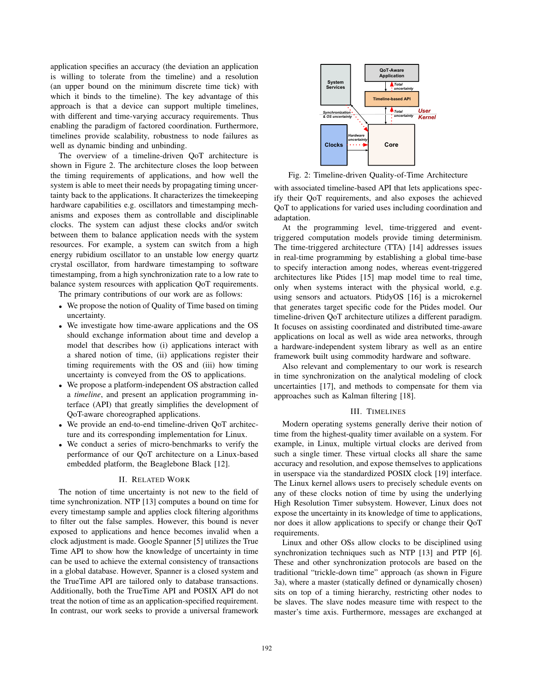application specifies an accuracy (the deviation an application is willing to tolerate from the timeline) and a resolution (an upper bound on the minimum discrete time tick) with which it binds to the timeline). The key advantage of this approach is that a device can support multiple timelines, with different and time-varying accuracy requirements. Thus enabling the paradigm of factored coordination. Furthermore, timelines provide scalability, robustness to node failures as well as dynamic binding and unbinding.

The overview of a timeline-driven QoT architecture is shown in Figure 2. The architecture closes the loop between the timing requirements of applications, and how well the system is able to meet their needs by propagating timing uncertainty back to the applications. It characterizes the timekeeping hardware capabilities e.g. oscillators and timestamping mechanisms and exposes them as controllable and disciplinable clocks. The system can adjust these clocks and/or switch between them to balance application needs with the system resources. For example, a system can switch from a high energy rubidium oscillator to an unstable low energy quartz crystal oscillator, from hardware timestamping to software timestamping, from a high synchronization rate to a low rate to balance system resources with application QoT requirements.

The primary contributions of our work are as follows:

- We propose the notion of Quality of Time based on timing uncertainty.
- We investigate how time-aware applications and the OS should exchange information about time and develop a model that describes how (i) applications interact with a shared notion of time, (ii) applications register their timing requirements with the OS and (iii) how timing uncertainty is conveyed from the OS to applications.
- We propose a platform-independent OS abstraction called a *timeline*, and present an application programming interface (API) that greatly simplifies the development of QoT-aware choreographed applications.
- We provide an end-to-end timeline-driven QoT architecture and its corresponding implementation for Linux.
- We conduct a series of micro-benchmarks to verify the performance of our QoT architecture on a Linux-based embedded platform, the Beaglebone Black [12].

# II. RELATED WORK

The notion of time uncertainty is not new to the field of time synchronization. NTP [13] computes a bound on time for every timestamp sample and applies clock filtering algorithms to filter out the false samples. However, this bound is never exposed to applications and hence becomes invalid when a clock adjustment is made. Google Spanner [5] utilizes the True Time API to show how the knowledge of uncertainty in time can be used to achieve the external consistency of transactions in a global database. However, Spanner is a closed system and the TrueTime API are tailored only to database transactions. Additionally, both the TrueTime API and POSIX API do not treat the notion of time as an application-specified requirement. In contrast, our work seeks to provide a universal framework



Fig. 2: Timeline-driven Quality-of-Time Architecture

with associated timeline-based API that lets applications specify their QoT requirements, and also exposes the achieved QoT to applications for varied uses including coordination and adaptation.

At the programming level, time-triggered and eventtriggered computation models provide timing determinism. The time-triggered architecture (TTA) [14] addresses issues in real-time programming by establishing a global time-base to specify interaction among nodes, whereas event-triggered architectures like Ptides [15] map model time to real time, only when systems interact with the physical world, e.g. using sensors and actuators. PtidyOS [16] is a microkernel that generates target specific code for the Ptides model. Our timeline-driven QoT architecture utilizes a different paradigm. It focuses on assisting coordinated and distributed time-aware applications on local as well as wide area networks, through a hardware-independent system library as well as an entire framework built using commodity hardware and software.

Also relevant and complementary to our work is research in time synchronization on the analytical modeling of clock uncertainties [17], and methods to compensate for them via approaches such as Kalman filtering [18].

# III. TIMELINES

Modern operating systems generally derive their notion of time from the highest-quality timer available on a system. For example, in Linux, multiple virtual clocks are derived from such a single timer. These virtual clocks all share the same accuracy and resolution, and expose themselves to applications in userspace via the standardized POSIX clock [19] interface. The Linux kernel allows users to precisely schedule events on any of these clocks notion of time by using the underlying High Resolution Timer subsystem. However, Linux does not expose the uncertainty in its knowledge of time to applications, nor does it allow applications to specify or change their QoT requirements.

Linux and other OSs allow clocks to be disciplined using synchronization techniques such as NTP [13] and PTP [6]. These and other synchronization protocols are based on the traditional "trickle-down time" approach (as shown in Figure 3a), where a master (statically defined or dynamically chosen) sits on top of a timing hierarchy, restricting other nodes to be slaves. The slave nodes measure time with respect to the master's time axis. Furthermore, messages are exchanged at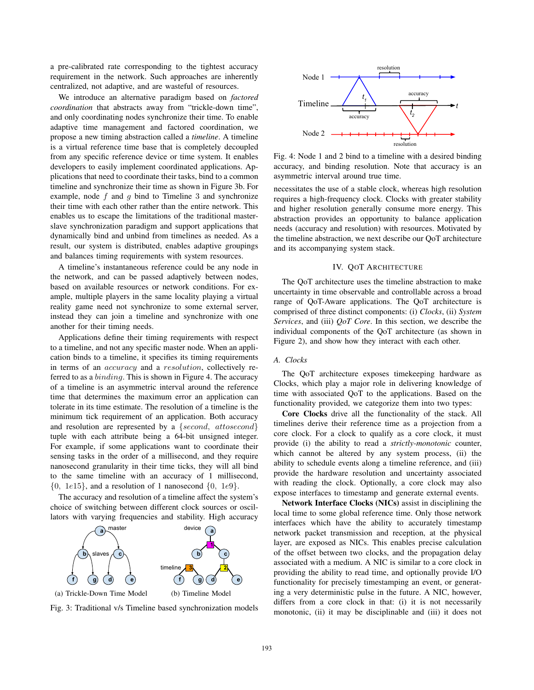a pre-calibrated rate corresponding to the tightest accuracy requirement in the network. Such approaches are inherently centralized, not adaptive, and are wasteful of resources.

We introduce an alternative paradigm based on *factored coordination* that abstracts away from "trickle-down time", and only coordinating nodes synchronize their time. To enable adaptive time management and factored coordination, we propose a new timing abstraction called a *timeline*. A timeline is a virtual reference time base that is completely decoupled from any specific reference device or time system. It enables developers to easily implement coordinated applications. Applications that need to coordinate their tasks, bind to a common timeline and synchronize their time as shown in Figure 3b. For example, node *f* and *g* bind to Timeline 3 and synchronize their time with each other rather than the entire network. This enables us to escape the limitations of the traditional masterslave synchronization paradigm and support applications that dynamically bind and unbind from timelines as needed. As a result, our system is distributed, enables adaptive groupings and balances timing requirements with system resources.

A timeline's instantaneous reference could be any node in the network, and can be passed adaptively between nodes, based on available resources or network conditions. For example, multiple players in the same locality playing a virtual reality game need not synchronize to some external server, instead they can join a timeline and synchronize with one another for their timing needs.

Applications define their timing requirements with respect to a timeline, and not any specific master node. When an application binds to a timeline, it specifies its timing requirements in terms of an *accuracy* and a *resolution*, collectively referred to as a *binding*. This is shown in Figure 4. The accuracy of a timeline is an asymmetric interval around the reference time that determines the maximum error an application can tolerate in its time estimate. The resolution of a timeline is the minimum tick requirement of an application. Both accuracy and resolution are represented by a {*second, attosecond*} tuple with each attribute being a 64-bit unsigned integer. For example, if some applications want to coordinate their sensing tasks in the order of a millisecond, and they require nanosecond granularity in their time ticks, they will all bind to the same timeline with an accuracy of 1 millisecond, {0*,* 1*e*15}, and a resolution of 1 nanosecond {0*,* 1*e*9}.

The accuracy and resolution of a timeline affect the system's choice of switching between different clock sources or oscillators with varying frequencies and stability. High accuracy







Fig. 4: Node 1 and 2 bind to a timeline with a desired binding accuracy, and binding resolution. Note that accuracy is an asymmetric interval around true time.

necessitates the use of a stable clock, whereas high resolution requires a high-frequency clock. Clocks with greater stability and higher resolution generally consume more energy. This abstraction provides an opportunity to balance application needs (accuracy and resolution) with resources. Motivated by the timeline abstraction, we next describe our QoT architecture and its accompanying system stack.

#### IV. QOT ARCHITECTURE

The QoT architecture uses the timeline abstraction to make uncertainty in time observable and controllable across a broad range of QoT-Aware applications. The QoT architecture is comprised of three distinct components: (i) *Clocks*, (ii) *System Services*, and (iii) *QoT Core*. In this section, we describe the individual components of the QoT architecture (as shown in Figure 2), and show how they interact with each other.

# *A. Clocks*

The QoT architecture exposes timekeeping hardware as Clocks, which play a major role in delivering knowledge of time with associated QoT to the applications. Based on the functionality provided, we categorize them into two types:

Core Clocks drive all the functionality of the stack. All timelines derive their reference time as a projection from a core clock. For a clock to qualify as a core clock, it must provide (i) the ability to read a *strictly-monotonic* counter, which cannot be altered by any system process, (ii) the ability to schedule events along a timeline reference, and (iii) provide the hardware resolution and uncertainty associated with reading the clock. Optionally, a core clock may also expose interfaces to timestamp and generate external events.

Network Interface Clocks (NICs) assist in disciplining the local time to some global reference time. Only those network interfaces which have the ability to accurately timestamp network packet transmission and reception, at the physical layer, are exposed as NICs. This enables precise calculation of the offset between two clocks, and the propagation delay associated with a medium. A NIC is similar to a core clock in providing the ability to read time, and optionally provide I/O functionality for precisely timestamping an event, or generating a very deterministic pulse in the future. A NIC, however, differs from a core clock in that: (i) it is not necessarily monotonic, (ii) it may be disciplinable and (iii) it does not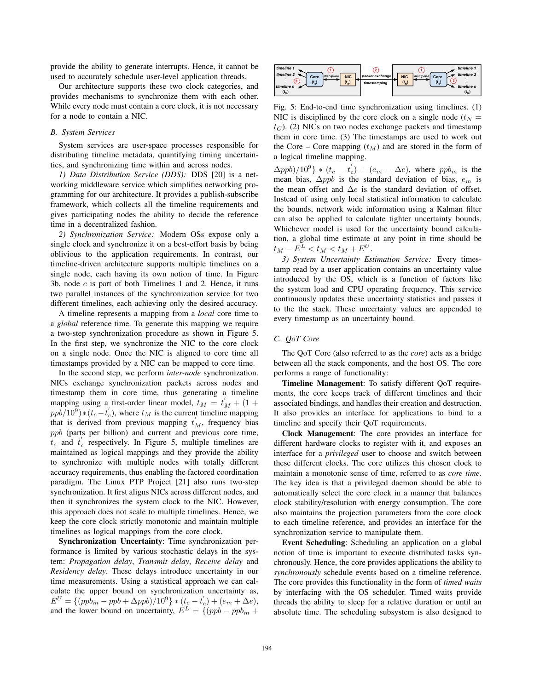provide the ability to generate interrupts. Hence, it cannot be used to accurately schedule user-level application threads.

Our architecture supports these two clock categories, and provides mechanisms to synchronize them with each other. While every node must contain a core clock, it is not necessary for a node to contain a NIC.

## *B. System Services*

System services are user-space processes responsible for distributing timeline metadata, quantifying timing uncertainties, and synchronizing time within and across nodes.

*1) Data Distribution Service (DDS):* DDS [20] is a networking middleware service which simplifies networking programming for our architecture. It provides a publish-subscribe framework, which collects all the timeline requirements and gives participating nodes the ability to decide the reference time in a decentralized fashion.

*2) Synchronization Service:* Modern OSs expose only a single clock and synchronize it on a best-effort basis by being oblivious to the application requirements. In contrast, our timeline-driven architecture supports multiple timelines on a single node, each having its own notion of time. In Figure 3b, node *c* is part of both Timelines 1 and 2. Hence, it runs two parallel instances of the synchronization service for two different timelines, each achieving only the desired accuracy.

A timeline represents a mapping from a *local* core time to a *global* reference time. To generate this mapping we require a two-step synchronization procedure as shown in Figure 5. In the first step, we synchronize the NIC to the core clock on a single node. Once the NIC is aligned to core time all timestamps provided by a NIC can be mapped to core time.

In the second step, we perform *inter-node* synchronization. NICs exchange synchronization packets across nodes and timestamp them in core time, thus generating a timeline mapping using a first-order linear model,  $t_M = t_M' + (1 + \frac{m}{100})(100) \times (t - t_M')$  where  $t_M$  is the current timeline mapping  $ppb/10^9$   $\times$  (*t<sub>c</sub>*−*t*<sup>'</sup><sub>c</sub>), where *t*<sub>M</sub> is the current timeline mapping that is derived from previous mapping *t*<sup>'</sup> frequency bias that is derived from previous mapping  $t_M$ , frequency bias<br>
and (parts per billion) and current and previous core time *ppb* (parts per billion) and current and previous core time,  $t_c$  and  $t_c'$  respectively. In Figure 5, multiple timelines are maintained as logical mannings and they provide the ability maintained as logical mappings and they provide the ability to synchronize with multiple nodes with totally different accuracy requirements, thus enabling the factored coordination paradigm. The Linux PTP Project [21] also runs two-step synchronization. It first aligns NICs across different nodes, and then it synchronizes the system clock to the NIC. However, this approach does not scale to multiple timelines. Hence, we keep the core clock strictly monotonic and maintain multiple timelines as logical mappings from the core clock.

Synchronization Uncertainty: Time synchronization performance is limited by various stochastic delays in the system: *Propagation delay*, *Transmit delay*, *Receive delay* and *Residency delay*. These delays introduce uncertainty in our time measurements. Using a statistical approach we can calculate the upper bound on synchronization uncertainty as,  $E^U = \{(ppb_m - ppb + \Delta ppb)/10^9\} * (t_c - t_c') + (e_m + \Delta e),$ <br>and the lower bound on uncertainty  $F^L = \{(ppb, ppb, \ldots)$ and the lower bound on uncertainty,  $E^L = \{(ppb - ppbm +$ 



Fig. 5: End-to-end time synchronization using timelines. (1) NIC is disciplined by the core clock on a single node ( $t_N$  =  $t_C$ ). (2) NICs on two nodes exchange packets and timestamp them in core time. (3) The timestamps are used to work out the Core – Core mapping  $(t_M)$  and are stored in the form of a logical timeline mapping.

 $\Delta ppb)/10^9$  \*  $(t_c - t_c') + (e_m - \Delta e)$ , where  $ppb_m$  is the mean bias  $\Delta mpb$  is the standard deviation of bias  $e_a$  is mean bias,  $\Delta p p b$  is the standard deviation of bias,  $e_m$  is the mean offset and  $\Delta e$  is the standard deviation of offset. Instead of using only local statistical information to calculate the bounds, network wide information using a Kalman filter can also be applied to calculate tighter uncertainty bounds. Whichever model is used for the uncertainty bound calculation, a global time estimate at any point in time should be  $t_M - E^L < t_M < t_M + E^U$ .

*3) System Uncertainty Estimation Service:* Every timestamp read by a user application contains an uncertainty value introduced by the OS, which is a function of factors like the system load and CPU operating frequency. This service continuously updates these uncertainty statistics and passes it to the the stack. These uncertainty values are appended to every timestamp as an uncertainty bound.

# *C. QoT Core*

The QoT Core (also referred to as the *core*) acts as a bridge between all the stack components, and the host OS. The core performs a range of functionality:

Timeline Management: To satisfy different QoT requirements, the core keeps track of different timelines and their associated bindings, and handles their creation and destruction. It also provides an interface for applications to bind to a timeline and specify their QoT requirements.

Clock Management: The core provides an interface for different hardware clocks to register with it, and exposes an interface for a *privileged* user to choose and switch between these different clocks. The core utilizes this chosen clock to maintain a monotonic sense of time, referred to as *core time*. The key idea is that a privileged daemon should be able to automatically select the core clock in a manner that balances clock stability/resolution with energy consumption. The core also maintains the projection parameters from the core clock to each timeline reference, and provides an interface for the synchronization service to manipulate them.

Event Scheduling: Scheduling an application on a global notion of time is important to execute distributed tasks synchronously. Hence, the core provides applications the ability to *synchronously* schedule events based on a timeline reference. The core provides this functionality in the form of *timed waits* by interfacing with the OS scheduler. Timed waits provide threads the ability to sleep for a relative duration or until an absolute time. The scheduling subsystem is also designed to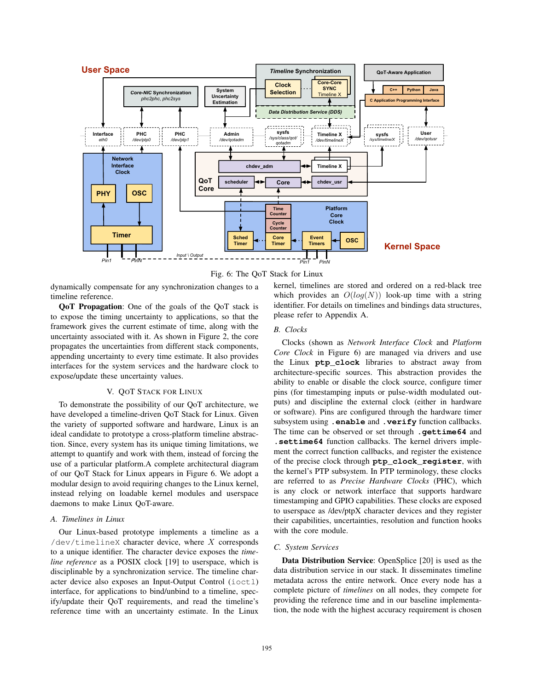



dynamically compensate for any synchronization changes to a timeline reference.

QoT Propagation: One of the goals of the QoT stack is to expose the timing uncertainty to applications, so that the framework gives the current estimate of time, along with the uncertainty associated with it. As shown in Figure 2, the core propagates the uncertainties from different stack components, appending uncertainty to every time estimate. It also provides interfaces for the system services and the hardware clock to expose/update these uncertainty values.

## V. QOT STACK FOR LINUX

To demonstrate the possibility of our QoT architecture, we have developed a timeline-driven QoT Stack for Linux. Given the variety of supported software and hardware, Linux is an ideal candidate to prototype a cross-platform timeline abstraction. Since, every system has its unique timing limitations, we attempt to quantify and work with them, instead of forcing the use of a particular platform.A complete architectural diagram of our QoT Stack for Linux appears in Figure 6. We adopt a modular design to avoid requiring changes to the Linux kernel, instead relying on loadable kernel modules and userspace daemons to make Linux QoT-aware.

#### *A. Timelines in Linux*

Our Linux-based prototype implements a timeline as a /dev/timelineX character device, where *X* corresponds to a unique identifier. The character device exposes the *timeline reference* as a POSIX clock [19] to userspace, which is disciplinable by a synchronization service. The timeline character device also exposes an Input-Output Control (ioctl) interface, for applications to bind/unbind to a timeline, specify/update their QoT requirements, and read the timeline's reference time with an uncertainty estimate. In the Linux kernel, timelines are stored and ordered on a red-black tree which provides an  $O(log(N))$  look-up time with a string identifier. For details on timelines and bindings data structures, please refer to Appendix A.

# *B. Clocks*

Clocks (shown as *Network Interface Clock* and *Platform Core Clock* in Figure 6) are managed via drivers and use the Linux **ptp\_clock** libraries to abstract away from architecture-specific sources. This abstraction provides the ability to enable or disable the clock source, configure timer pins (for timestamping inputs or pulse-width modulated outputs) and discipline the external clock (either in hardware or software). Pins are configured through the hardware timer subsystem using **.enable** and **.verify** function callbacks. The time can be observed or set through **.gettime64** and **.settime64** function callbacks. The kernel drivers implement the correct function callbacks, and register the existence of the precise clock through **ptp\_clock\_register**, with the kernel's PTP subsystem. In PTP terminology, these clocks are referred to as *Precise Hardware Clocks* (PHC), which is any clock or network interface that supports hardware timestamping and GPIO capabilities. These clocks are exposed to userspace as /dev/ptpX character devices and they register their capabilities, uncertainties, resolution and function hooks with the core module.

#### *C. System Services*

Data Distribution Service: OpenSplice [20] is used as the data distribution service in our stack. It disseminates timeline metadata across the entire network. Once every node has a complete picture of *timelines* on all nodes, they compete for providing the reference time and in our baseline implementation, the node with the highest accuracy requirement is chosen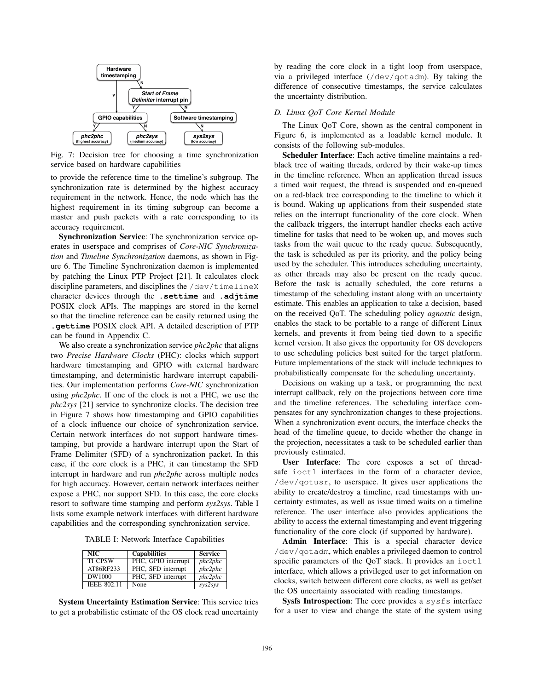

Fig. 7: Decision tree for choosing a time synchronization service based on hardware capabilities

to provide the reference time to the timeline's subgroup. The synchronization rate is determined by the highest accuracy requirement in the network. Hence, the node which has the highest requirement in its timing subgroup can become a master and push packets with a rate corresponding to its accuracy requirement.

Synchronization Service: The synchronization service operates in userspace and comprises of *Core-NIC Synchronization* and *Timeline Synchronization* daemons, as shown in Figure 6. The Timeline Synchronization daemon is implemented by patching the Linux PTP Project [21]. It calculates clock discipline parameters, and disciplines the /dev/timelineX character devices through the **.settime** and **.adjtime** POSIX clock APIs. The mappings are stored in the kernel so that the timeline reference can be easily returned using the **.gettime** POSIX clock API. A detailed description of PTP can be found in Appendix C.

We also create a synchronization service *phc2phc* that aligns two *Precise Hardware Clocks* (PHC): clocks which support hardware timestamping and GPIO with external hardware timestamping, and deterministic hardware interrupt capabilities. Our implementation performs *Core-NIC* synchronization using *phc2phc*. If one of the clock is not a PHC, we use the *phc2sys* [21] service to synchronize clocks. The decision tree in Figure 7 shows how timestamping and GPIO capabilities of a clock influence our choice of synchronization service. Certain network interfaces do not support hardware timestamping, but provide a hardware interrupt upon the Start of Frame Delimiter (SFD) of a synchronization packet. In this case, if the core clock is a PHC, it can timestamp the SFD interrupt in hardware and run *phc2phc* across multiple nodes for high accuracy. However, certain network interfaces neither expose a PHC, nor support SFD. In this case, the core clocks resort to software time stamping and perform *sys2sys*. Table I lists some example network interfaces with different hardware capabilities and the corresponding synchronization service.

TABLE I: Network Interface Capabilities

| NIC.               | <b>Capabilities</b> | <b>Service</b> |
|--------------------|---------------------|----------------|
| <b>TI CPSW</b>     | PHC, GPIO interrupt | phc2phc        |
| AT86RF233          | PHC, SFD interrupt  | phc2phc        |
| DW1000             | PHC, SFD interrupt  | phc2phc        |
| <b>IEEE 802.11</b> | None                | sys2sys        |

System Uncertainty Estimation Service: This service tries to get a probabilistic estimate of the OS clock read uncertainty

by reading the core clock in a tight loop from userspace, via a privileged interface (/dev/qotadm). By taking the difference of consecutive timestamps, the service calculates the uncertainty distribution.

#### *D. Linux QoT Core Kernel Module*

The Linux QoT Core, shown as the central component in Figure 6, is implemented as a loadable kernel module. It consists of the following sub-modules.

Scheduler Interface: Each active timeline maintains a redblack tree of waiting threads, ordered by their wake-up times in the timeline reference. When an application thread issues a timed wait request, the thread is suspended and en-queued on a red-black tree corresponding to the timeline to which it is bound. Waking up applications from their suspended state relies on the interrupt functionality of the core clock. When the callback triggers, the interrupt handler checks each active timeline for tasks that need to be woken up, and moves such tasks from the wait queue to the ready queue. Subsequently, the task is scheduled as per its priority, and the policy being used by the scheduler. This introduces scheduling uncertainty, as other threads may also be present on the ready queue. Before the task is actually scheduled, the core returns a timestamp of the scheduling instant along with an uncertainty estimate. This enables an application to take a decision, based on the received QoT. The scheduling policy *agnostic* design, enables the stack to be portable to a range of different Linux kernels, and prevents it from being tied down to a specific kernel version. It also gives the opportunity for OS developers to use scheduling policies best suited for the target platform. Future implementations of the stack will include techniques to probabilistically compensate for the scheduling uncertainty.

Decisions on waking up a task, or programming the next interrupt callback, rely on the projections between core time and the timeline references. The scheduling interface compensates for any synchronization changes to these projections. When a synchronization event occurs, the interface checks the head of the timeline queue, to decide whether the change in the projection, necessitates a task to be scheduled earlier than previously estimated.

User Interface: The core exposes a set of threadsafe ioctl interfaces in the form of a character device, /dev/qotusr, to userspace. It gives user applications the ability to create/destroy a timeline, read timestamps with uncertainty estimates, as well as issue timed waits on a timeline reference. The user interface also provides applications the ability to access the external timestamping and event triggering functionality of the core clock (if supported by hardware).

Admin Interface: This is a special character device /dev/qotadm, which enables a privileged daemon to control specific parameters of the QoT stack. It provides an ioctl interface, which allows a privileged user to get information on clocks, switch between different core clocks, as well as get/set the OS uncertainty associated with reading timestamps.

Sysfs Introspection: The core provides a sysfs interface for a user to view and change the state of the system using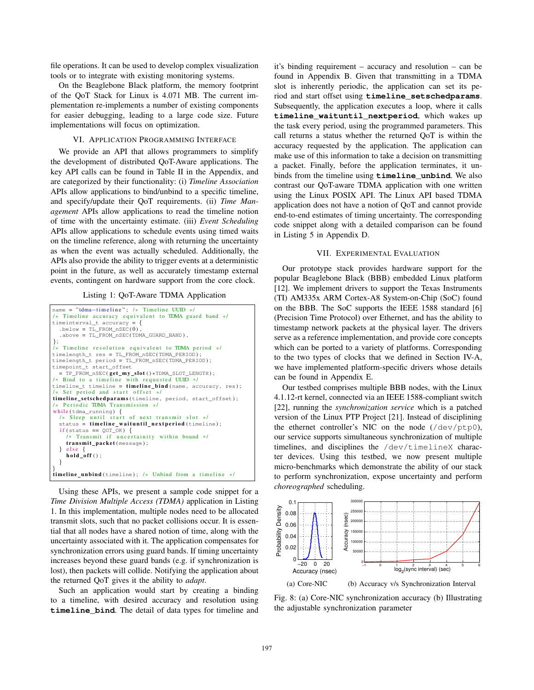file operations. It can be used to develop complex visualization tools or to integrate with existing monitoring systems.

On the Beaglebone Black platform, the memory footprint of the QoT Stack for Linux is 4.071 MB. The current implementation re-implements a number of existing components for easier debugging, leading to a large code size. Future implementations will focus on optimization.

#### VI. APPLICATION PROGRAMMING INTERFACE

We provide an API that allows programmers to simplify the development of distributed QoT-Aware applications. The key API calls can be found in Table II in the Appendix, and are categorized by their functionality: (i) *Timeline Association* APIs allow applications to bind/unbind to a specific timeline, and specify/update their QoT requirements. (ii) *Time Management* APIs allow applications to read the timeline notion of time with the uncertainty estimate. (iii) *Event Scheduling* APIs allow applications to schedule events using timed waits on the timeline reference, along with returning the uncertainty as when the event was actually scheduled. Additionally, the APIs also provide the ability to trigger events at a deterministic point in the future, as well as accurately timestamp external events, contingent on hardware support from the core clock.

Listing 1: QoT-Aware TDMA Application

```
name = "tdma-timeline"; /* Timeline UUID */
/* Timeline accuracy equivalent to TDMA guard band */
timeinterval_t accuracy = {
. below = TL_FROM_nSEC (0) ,
   . above = TL_FROM_nSEC(TDMA_GUARD_BAND) ,
};<br>/* Timeline resolution equivalent to TDMA period */
timelength_t res = TL_FROM_nSEC(TDMA_PERIOD) ;
timelength_t period = TL_FROM_nSEC(TDMA_PERIOD) ;
timepoint_t start_offset
  = TP_FROM_nSEC(get_my\_slot() * TDMA\_SLOT\_LENGTH);
/* Bind to a timeline with requested UUID */timeline_t timeline = timeline\_bind (name, accuracy, res);
 * Set period and start offset */
time\_setscheduling (timeline, period, start_offset);
   Periodic TDMA Transmission */
while (tdma_running) {
  /* Sleep until start of next transmit slot */status = timeline_waituntil_nextperiod (timeline);<br>if (status == QOT_OK) {
    /* Transmit if uncertainity within bound */transmit packet (message) ;
  } else \{ hold_off ();
  }
}<br>timeline_unbind(timeline); /* Unbind from a ti<mark>meline */</mark>
```
Using these APIs, we present a sample code snippet for a *Time Division Multiple Access (TDMA)* application in Listing 1. In this implementation, multiple nodes need to be allocated transmit slots, such that no packet collisions occur. It is essential that all nodes have a shared notion of time, along with the uncertainty associated with it. The application compensates for synchronization errors using guard bands. If timing uncertainty increases beyond these guard bands (e.g. if synchronization is lost), then packets will collide. Notifying the application about the returned QoT gives it the ability to *adapt*.

Such an application would start by creating a binding to a timeline, with desired accuracy and resolution using **timeline\_bind**. The detail of data types for timeline and it's binding requirement – accuracy and resolution – can be found in Appendix B. Given that transmitting in a TDMA slot is inherently periodic, the application can set its period and start offset using **timeline\_setschedparams**. Subsequently, the application executes a loop, where it calls **timeline\_waituntil\_nextperiod**, which wakes up the task every period, using the programmed parameters. This call returns a status whether the returned QoT is within the accuracy requested by the application. The application can make use of this information to take a decision on transmitting a packet. Finally, before the application terminates, it unbinds from the timeline using **timeline\_unbind**. We also contrast our QoT-aware TDMA application with one written using the Linux POSIX API. The Linux API based TDMA application does not have a notion of QoT and cannot provide end-to-end estimates of timing uncertainty. The corresponding code snippet along with a detailed comparison can be found in Listing 5 in Appendix D.

# VII. EXPERIMENTAL EVALUATION

Our prototype stack provides hardware support for the popular Beaglebone Black (BBB) embedded Linux platform [12]. We implement drivers to support the Texas Instruments (TI) AM335x ARM Cortex-A8 System-on-Chip (SoC) found on the BBB. The SoC supports the IEEE 1588 standard [6] (Precision Time Protocol) over Ethernet, and has the ability to timestamp network packets at the physical layer. The drivers serve as a reference implementation, and provide core concepts which can be ported to a variety of platforms. Corresponding to the two types of clocks that we defined in Section IV-A, we have implemented platform-specific drivers whose details can be found in Appendix E.

Our testbed comprises multiple BBB nodes, with the Linux 4.1.12-rt kernel, connected via an IEEE 1588-compliant switch [22], running the *synchronization service* which is a patched version of the Linux PTP Project [21]. Instead of disciplining the ethernet controller's NIC on the node (/dev/ptp0), our service supports simultaneous synchronization of multiple timelines, and disciplines the /dev/timelineX character devices. Using this testbed, we now present multiple micro-benchmarks which demonstrate the ability of our stack to perform synchronization, expose uncertainty and perform *choreographed* scheduling.



Fig. 8: (a) Core-NIC synchronization accuracy (b) Illustrating the adjustable synchronization parameter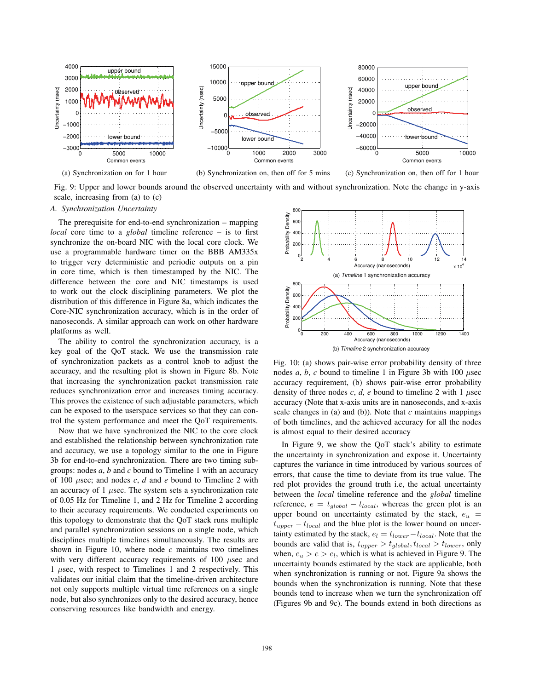

(a) Synchronization on for 1 hour



(c) Synchronization on, then off for 1 hour

Fig. 9: Upper and lower bounds around the observed uncertainty with and without synchronization. Note the change in y-axis scale, increasing from (a) to (c)

### *A. Synchronization Uncertainty*

The prerequisite for end-to-end synchronization – mapping *local* core time to a *global* timeline reference – is to first synchronize the on-board NIC with the local core clock. We use a programmable hardware timer on the BBB AM335x to trigger very deterministic and periodic outputs on a pin in core time, which is then timestamped by the NIC. The difference between the core and NIC timestamps is used to work out the clock disciplining parameters. We plot the distribution of this difference in Figure 8a, which indicates the Core-NIC synchronization accuracy, which is in the order of nanoseconds. A similar approach can work on other hardware platforms as well.

The ability to control the synchronization accuracy, is a key goal of the QoT stack. We use the transmission rate of synchronization packets as a control knob to adjust the accuracy, and the resulting plot is shown in Figure 8b. Note that increasing the synchronization packet transmission rate reduces synchronization error and increases timing accuracy. This proves the existence of such adjustable parameters, which can be exposed to the userspace services so that they can control the system performance and meet the QoT requirements.

Now that we have synchronized the NIC to the core clock and established the relationship between synchronization rate and accuracy, we use a topology similar to the one in Figure 3b for end-to-end synchronization. There are two timing subgroups: nodes *a*, *b* and *c* bound to Timeline 1 with an accuracy of 100 *μ*sec; and nodes *c*, *d* and *e* bound to Timeline 2 with an accuracy of 1 *μ*sec. The system sets a synchronization rate of 0.05 Hz for Timeline 1, and 2 Hz for Timeline 2 according to their accuracy requirements. We conducted experiments on this topology to demonstrate that the QoT stack runs multiple and parallel synchronization sessions on a single node, which disciplines multiple timelines simultaneously. The results are shown in Figure 10, where node  $c$  maintains two timelines with very different accuracy requirements of 100 *μ*sec and 1 *μ*sec, with respect to Timelines 1 and 2 respectively. This validates our initial claim that the timeline-driven architecture not only supports multiple virtual time references on a single node, but also synchronizes only to the desired accuracy, hence conserving resources like bandwidth and energy.



Fig. 10: (a) shows pair-wise error probability density of three nodes *a*, *b*, *c* bound to timeline 1 in Figure 3b with 100 *μ*sec accuracy requirement, (b) shows pair-wise error probability density of three nodes  $c$ ,  $d$ ,  $e$  bound to timeline 2 with 1  $\mu$ sec accuracy (Note that x-axis units are in nanoseconds, and x-axis scale changes in (a) and (b)). Note that  $c$  maintains mappings of both timelines, and the achieved accuracy for all the nodes is almost equal to their desired accuracy

In Figure 9, we show the QoT stack's ability to estimate the uncertainty in synchronization and expose it. Uncertainty captures the variance in time introduced by various sources of errors, that cause the time to deviate from its true value. The red plot provides the ground truth i.e, the actual uncertainty between the *local* timeline reference and the *global* timeline reference,  $e = t_{global} - t_{local}$ , whereas the green plot is an upper bound on uncertainty estimated by the stack,  $e_u$  =  $t_{upper} - t_{local}$  and the blue plot is the lower bound on uncertainty estimated by the stack,  $e_l = t_{lower} - t_{local}$ . Note that the bounds are valid that is,  $t_{upper} > t_{global}$ ,  $t_{local} > t_{lower}$ , only when,  $e_u > e > e_l$ , which is what is achieved in Figure 9. The uncertainty bounds estimated by the stack are applicable, both when synchronization is running or not. Figure 9a shows the bounds when the synchronization is running. Note that these bounds tend to increase when we turn the synchronization off (Figures 9b and 9c). The bounds extend in both directions as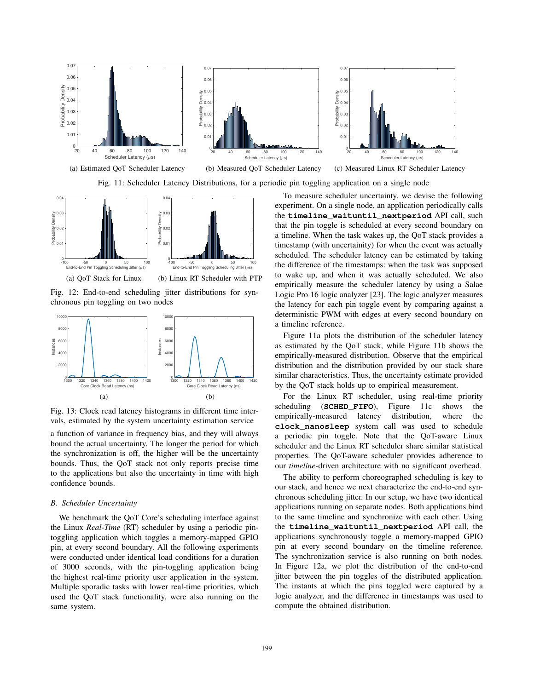

Fig. 11: Scheduler Latency Distributions, for a periodic pin toggling application on a single node



Fig. 12: End-to-end scheduling jitter distributions for synchronous pin toggling on two nodes



Fig. 13: Clock read latency histograms in different time intervals, estimated by the system uncertainty estimation service

a function of variance in frequency bias, and they will always bound the actual uncertainty. The longer the period for which the synchronization is off, the higher will be the uncertainty bounds. Thus, the QoT stack not only reports precise time to the applications but also the uncertainty in time with high confidence bounds.

#### *B. Scheduler Uncertainty*

We benchmark the OoT Core's scheduling interface against the Linux *Real-Time* (RT) scheduler by using a periodic pintoggling application which toggles a memory-mapped GPIO pin, at every second boundary. All the following experiments were conducted under identical load conditions for a duration of 3000 seconds, with the pin-toggling application being the highest real-time priority user application in the system. Multiple sporadic tasks with lower real-time priorities, which used the QoT stack functionality, were also running on the same system.

To measure scheduler uncertainty, we devise the following experiment. On a single node, an application periodically calls the **timeline\_waituntil\_nextperiod** API call, such that the pin toggle is scheduled at every second boundary on a timeline. When the task wakes up, the QoT stack provides a timestamp (with uncertainity) for when the event was actually scheduled. The scheduler latency can be estimated by taking the difference of the timestamps: when the task was supposed to wake up, and when it was actually scheduled. We also empirically measure the scheduler latency by using a Salae Logic Pro 16 logic analyzer [23]. The logic analyzer measures the latency for each pin toggle event by comparing against a deterministic PWM with edges at every second boundary on a timeline reference.

Figure 11a plots the distribution of the scheduler latency as estimated by the QoT stack, while Figure 11b shows the empirically-measured distribution. Observe that the empirical distribution and the distribution provided by our stack share similar characteristics. Thus, the uncertainty estimate provided by the QoT stack holds up to empirical measurement.

For the Linux RT scheduler, using real-time priority scheduling (**SCHED\_FIFO**), Figure 11c shows the empirically-measured latency distribution, where the **clock\_nanosleep** system call was used to schedule a periodic pin toggle. Note that the QoT-aware Linux scheduler and the Linux RT scheduler share similar statistical properties. The QoT-aware scheduler provides adherence to our *timeline*-driven architecture with no significant overhead.

The ability to perform choreographed scheduling is key to our stack, and hence we next characterize the end-to-end synchronous scheduling jitter. In our setup, we have two identical applications running on separate nodes. Both applications bind to the same timeline and synchronize with each other. Using the **timeline\_waituntil\_nextperiod** API call, the applications synchronously toggle a memory-mapped GPIO pin at every second boundary on the timeline reference. The synchronization service is also running on both nodes. In Figure 12a, we plot the distribution of the end-to-end jitter between the pin toggles of the distributed application. The instants at which the pins toggled were captured by a logic analyzer, and the difference in timestamps was used to compute the obtained distribution.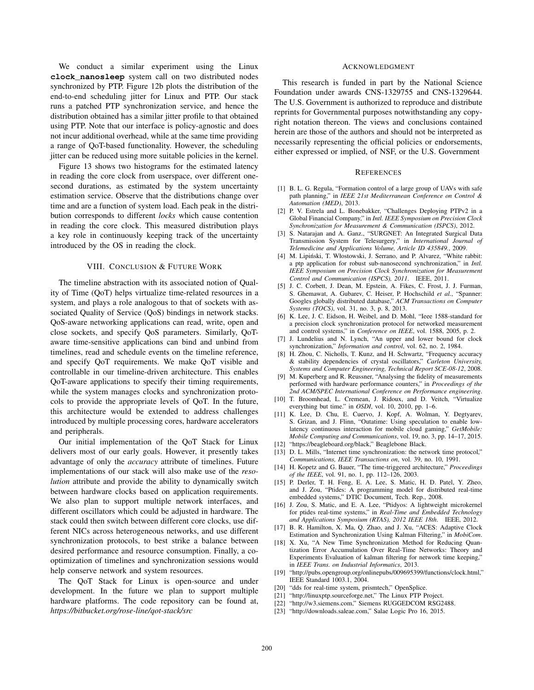We conduct a similar experiment using the Linux **clock\_nanosleep** system call on two distributed nodes synchronized by PTP. Figure 12b plots the distribution of the end-to-end scheduling jitter for Linux and PTP. Our stack runs a patched PTP synchronization service, and hence the distribution obtained has a similar jitter profile to that obtained using PTP. Note that our interface is policy-agnostic and does not incur additional overhead, while at the same time providing a range of QoT-based functionality. However, the scheduling jitter can be reduced using more suitable policies in the kernel.

Figure 13 shows two histograms for the estimated latency in reading the core clock from userspace, over different onesecond durations, as estimated by the system uncertainty estimation service. Observe that the distributions change over time and are a function of system load. Each peak in the distribution corresponds to different *locks* which cause contention in reading the core clock. This measured distribution plays a key role in continuously keeping track of the uncertainty introduced by the OS in reading the clock.

#### VIII. CONCLUSION & FUTURE WORK

The timeline abstraction with its associated notion of Quality of Time (QoT) helps virtualize time-related resources in a system, and plays a role analogous to that of sockets with associated Quality of Service (QoS) bindings in network stacks. QoS-aware networking applications can read, write, open and close sockets, and specify QoS parameters. Similarly, QoTaware time-sensitive applications can bind and unbind from timelines, read and schedule events on the timeline reference, and specify QoT requirements. We make QoT visible and controllable in our timeline-driven architecture. This enables QoT-aware applications to specify their timing requirements, while the system manages clocks and synchronization protocols to provide the appropriate levels of QoT. In the future, this architecture would be extended to address challenges introduced by multiple processing cores, hardware accelerators and peripherals.

Our initial implementation of the QoT Stack for Linux delivers most of our early goals. However, it presently takes advantage of only the *accuracy* attribute of timelines. Future implementations of our stack will also make use of the *resolution* attribute and provide the ability to dynamically switch between hardware clocks based on application requirements. We also plan to support multiple network interfaces, and different oscillators which could be adjusted in hardware. The stack could then switch between different core clocks, use different NICs across heterogeneous networks, and use different synchronization protocols, to best strike a balance between desired performance and resource consumption. Finally, a cooptimization of timelines and synchronization sessions would help conserve network and system resources.

The QoT Stack for Linux is open-source and under development. In the future we plan to support multiple hardware platforms. The code repository can be found at, *https://bitbucket.org/rose-line/qot-stack/src*

#### ACKNOWLEDGMENT

This research is funded in part by the National Science Foundation under awards CNS-1329755 and CNS-1329644. The U.S. Government is authorized to reproduce and distribute reprints for Governmental purposes notwithstanding any copyright notation thereon. The views and conclusions contained herein are those of the authors and should not be interpreted as necessarily representing the official policies or endorsements, either expressed or implied, of NSF, or the U.S. Government

# **REFERENCES**

- [1] B. L. G. Regula, "Formation control of a large group of UAVs with safe path planning," in *IEEE 21st Mediterranean Conference on Control & Automation (MED)*, 2013.
- [2] P. V. Estrela and L. Bonebakker, "Challenges Deploying PTPv2 in a Global Financial Company," in *Intl. IEEE Symposium on Precision Clock Synchronization for Measurement & Communication (ISPCS)*, 2012.
- [3] S. Natarajan and A. Ganz., "SURGNET: An Integrated Surgical Data Transmission System for Telesurgery," in *International Journal of Telemedicine and Applications Volume, Article ID 435849.*, 2009.
- [4] M. Lipiński, T. Włostowski, J. Serrano, and P. Alvarez, "White rabbit: a ptp application for robust sub-nanosecond synchronization," in *Intl. IEEE Symposium on Precision Clock Synchronization for Measurement Control and Communication (ISPCS), 2011*. IEEE, 2011.
- [5] J. C. Corbett, J. Dean, M. Epstein, A. Fikes, C. Frost, J. J. Furman, S. Ghemawat, A. Gubarev, C. Heiser, P. Hochschild *et al.*, "Spanner: Googles globally distributed database," *ACM Transactions on Computer Systems (TOCS)*, vol. 31, no. 3, p. 8, 2013.
- [6] K. Lee, J. C. Eidson, H. Weibel, and D. Mohl, "Ieee 1588-standard for a precision clock synchronization protocol for networked measurement and control systems," in *Conference on IEEE*, vol. 1588, 2005, p. 2.
- [7] J. Lundelius and N. Lynch, "An upper and lower bound for clock synchronization," *Information and control*, vol. 62, no. 2, 1984.
- [8] H. Zhou, C. Nicholls, T. Kunz, and H. Schwartz, "Frequency accuracy & stability dependencies of crystal oscillators," *Carleton University, Systems and Computer Engineering, Technical Report SCE-08-12*, 2008.
- [9] M. Kuperberg and R. Reussner, "Analysing the fidelity of measurements performed with hardware performance counters," in *Proceedings of the 2nd ACM/SPEC International Conference on Performance engineering*.
- [10] T. Broomhead, L. Cremean, J. Ridoux, and D. Veitch, "Virtualize everything but time." in *OSDI*, vol. 10, 2010, pp. 1–6.
- [11] K. Lee, D. Chu, E. Cuervo, J. Kopf, A. Wolman, Y. Degtyarev, S. Grizan, and J. Flinn, "Outatime: Using speculation to enable lowlatency continuous interaction for mobile cloud gaming," *GetMobile: Mobile Computing and Communications*, vol. 19, no. 3, pp. 14–17, 2015.
- [12] "https://beagleboard.org/black," Beaglebone Black.
- [13] D. L. Mills, "Internet time synchronization: the network time protocol," *Communications, IEEE Transactions on*, vol. 39, no. 10, 1991.
- [14] H. Kopetz and G. Bauer, "The time-triggered architecture," *Proceedings of the IEEE*, vol. 91, no. 1, pp. 112–126, 2003.
- [15] P. Derler, T. H. Feng, E. A. Lee, S. Matic, H. D. Patel, Y. Zheo, and J. Zou, "Ptides: A programming model for distributed real-time embedded systems," DTIC Document, Tech. Rep., 2008.
- [16] J. Zou, S. Matic, and E. A. Lee, "Ptidyos: A lightweight microkernel for ptides real-time systems," in *Real-Time and Embedded Technology and Applications Symposium (RTAS), 2012 IEEE 18th*. IEEE, 2012.
- [17] B. R. Hamilton, X. Ma, Q. Zhao, and J. Xu, "ACES: Adaptive Clock Estimation and Synchronization Using Kalman Filtering," in *MobiCom*.
- [18] X. Xu, "A New Time Synchronization Method for Reducing Quantization Error Accumulation Over Real-Time Networks: Theory and Experiments Evaluation of kalman filtering for network time keeping," in *IEEE Trans. on Industrial Informatics*, 2013.
- [19] "http://pubs.opengroup.org/onlinepubs/009695399/functions/clock.html," IEEE Standard 1003.1, 2004.
- [20] "dds for real-time system, prismtech," OpenSplice.
- [21] "http://linuxptp.sourceforge.net," The Linux PTP Project.
- [22] "http://w3.siemens.com," Siemens RUGGEDCOM RSG2488.
- [23] "http://downloads.saleae.com," Salae Logic Pro 16, 2015.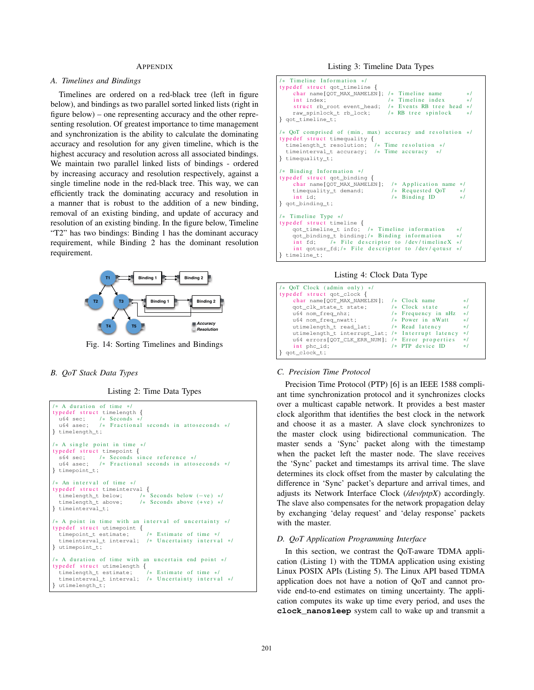#### **APPENDIX**

# *A. Timelines and Bindings*

Timelines are ordered on a red-black tree (left in figure below), and bindings as two parallel sorted linked lists (right in figure below) – one representing accuracy and the other representing resolution. Of greatest importance to time management and synchronization is the ability to calculate the dominating accuracy and resolution for any given timeline, which is the highest accuracy and resolution across all associated bindings. We maintain two parallel linked lists of bindings - ordered by increasing accuracy and resolution respectively, against a single timeline node in the red-black tree. This way, we can efficiently track the dominating accuracy and resolution in a manner that is robust to the addition of a new binding, removal of an existing binding, and update of accuracy and resolution of an existing binding. In the figure below, Timeline "T2" has two bindings: Binding 1 has the dominant accuracy requirement, while Binding 2 has the dominant resolution requirement.



Fig. 14: Sorting Timelines and Bindings

# *B. QoT Stack Data Types*

Listing 2: Time Data Types

```
/ A duration of time *typedef struct timelength {<br>u64 sec; /* Seconds */
   \begin{array}{ccc} \text{u}64 \text{ sec}; & /* \text{ seconds } * \\ \text{u}64 \text{ asec}; & /* \text{ Fraction} \end{array}/* Fractional seconds in attoseconds */
} timelength_t ;
/* A single point in time */typedef struct timepoint {
  s64 sec; /* Seconds since reference */<br>u64 asec; /* Fractional seconds in attos
                   /* Fractional seconds in attoseconds */
} timepoint_t ;
/* An interval of time */typedef struct timeinterval \{<br>timelength t below; /* Seconds below (-ve) */
   timelength_t below;<br>timelength t above:
                                     1* Seconds above (+ve) */
} timeinterval_t ;
% A point in time with an interval of uncertainty */<br>
typedef struct utimepoint {<br>
timepoint_t estimate; /* Estimate of time */
   timeinterval_t interval; /* Uncertainty interval */
} utimepoint_t ;
/* A duration of time with an uncertain end point */typedef struct utimelength {<br>timelength_t estimate; /* Estimate of time */
   timelength_t estimate;
   timeinterval_t interval; /* Uncertainty interval */
  utimelength_t;
```

```
Timeline Information */
typedef struct qot_timeline {
     char name [QOT_MAX_NAMELEN]; /* Timeline name */<br>int index: /* Timeline index */
                                           \frac{1}{1} Timeline index */<br>\frac{1}{1} Events RB tree head */
     struct rb_root event_head; /* Events RB tree h<br>raw spinlock t rb lock: /* RB tree spinlock
     raw spinlock t rb lock :
} got timeline t;
\ell OoT comprised of (min. max) accuracy and resolution \elltypedef struct timequality {
  timelength_t resolution; /* Time resolution */
  timeinterval_t accuracy; /* Time accuracy */
} timequality_t ;
/* Binding Information */
typedef struct qot_binding {
     char name[QOT_MAX_NAMELEN]; /* Application name<br>timequality_t demand; /* Requested QoT
     timequality_t demand; / * Requested QoT */<br>int id / * Binding ID */
                                             /* Binding ID
} qot_binding_t ;
/* Timeline Type */
typedef struct timeline {<br>qot_timeline_t info;
                                  /* Timeline information */<br>\cdot /* Binding information */
     qot_binding_t binding; /* Binding information<br>int fd; /* File descriptor to /dev/timelin
                   i* File descriptor to /dev/timelineX */
     int qotusr_fd; /* File descriptor to /dev/qotusr */
} timeline t;
```
Listing 4: Clock Data Type

| /* OoT Clock (admin only) $*/$                    |                       |          |
|---------------------------------------------------|-----------------------|----------|
| typedef struct qot_clock {                        |                       |          |
| char name [OOT MAX NAMELEN];                      | $/*$ Clock name       | $\ast$ / |
| qot_clk_state_t state;                            | $/*$ Clock state      | $*1$     |
| u64 nom freq nhz;                                 | $/*$ Frequency in nHz | $*1$     |
| u64 nom freq nwatt; /* Power in nWatt             |                       | $*1$     |
| utimelength_t read_lat; /* Read latency           |                       | $\ast$   |
| utimelength t interrupt lat; /* Interrupt latency |                       | $\ast$ / |
| u64 errors [OOT CLK ERR NUM]; /* Error properties |                       | $\ast$ / |
| int phc id:                                       | $/*$ PTP device ID    | $\ast$ / |
| qot_clock_t;                                      |                       |          |

### *C. Precision Time Protocol*

Precision Time Protocol (PTP) [6] is an IEEE 1588 compliant time synchronization protocol and it synchronizes clocks over a multicast capable network. It provides a best master clock algorithm that identifies the best clock in the network and choose it as a master. A slave clock synchronizes to the master clock using bidirectional communication. The master sends a 'Sync' packet along with the timestamp when the packet left the master node. The slave receives the 'Sync' packet and timestamps its arrival time. The slave determines its clock offset from the master by calculating the difference in 'Sync' packet's departure and arrival times, and adjusts its Network Interface Clock (*/dev/ptpX*) accordingly. The slave also compensates for the network propagation delay by exchanging 'delay request' and 'delay response' packets with the master.

#### *D. QoT Application Programming Interface*

In this section, we contrast the QoT-aware TDMA application (Listing 1) with the TDMA application using existing Linux POSIX APIs (Listing 5). The Linux API based TDMA application does not have a notion of QoT and cannot provide end-to-end estimates on timing uncertainty. The application computes its wake up time every period, and uses the **clock\_nanosleep** system call to wake up and transmit a